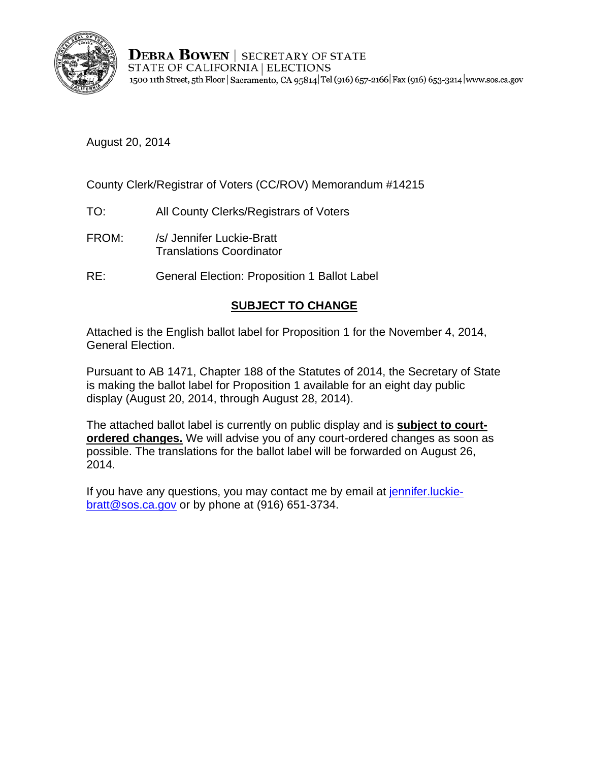

**DEBRA BOWEN** | SECRETARY OF STATE STATE OF CALIFORNIA | ELECTIONS 1500 11th Street, 5th Floor | Sacramento, CA 95814 Tel (916) 657-2166 | Fax (916) 653-3214 | www.sos.ca.gov

August 20, 2014

County Clerk/Registrar of Voters (CC/ROV) Memorandum #14215

- TO: All County Clerks/Registrars of Voters
- FROM: /s/ Jennifer Luckie-Bratt Translations Coordinator
- RE: General Election: Proposition 1 Ballot Label

## **SUBJECT TO CHANGE**

Attached is the English ballot label for Proposition 1 for the November 4, 2014, General Election.

Pursuant to AB 1471, Chapter 188 of the Statutes of 2014, the Secretary of State is making the ballot label for Proposition 1 available for an eight day public display (August 20, 2014, through August 28, 2014).

The attached ballot label is currently on public display and is **subject to courtordered changes.** We will advise you of any court-ordered changes as soon as possible. The translations for the ballot label will be forwarded on August 26, 2014.

If you have any questions, you may contact me by email at jennifer. luckiebratt@sos.ca.gov or by phone at (916) 651-3734.